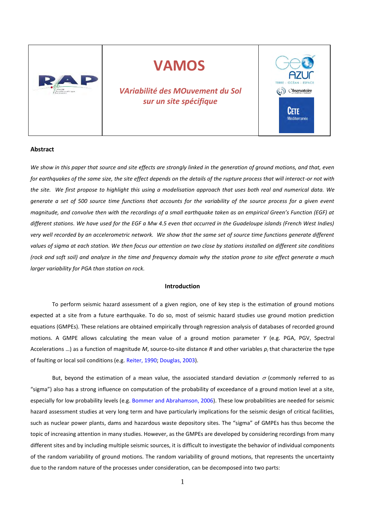

# **VAMOS**

*VAriabilité des MOuvement du Sol sur un site spécifique*



#### **Abstract**

*We show in this paper that source and site effects are strongly linked in the generation of ground motions, and that, even for earthquakes of the same size, the site effect depends on the details of the rupture process that will interact-or not with the site. We first propose to highlight this using a modelisation approach that uses both real and numerical data. We generate a set of 500 source time functions that accounts for the variability of the source process for a given event magnitude, and convolve then with the recordings of a small earthquake taken as an empirical Green's Function (EGF) at different stations. We have used for the EGF a Mw 4.5 even that occurred in the Guadeloupe islands (French West Indies) very well recorded by an accelerometric network. We show that the same set of source time functions generate different values of sigma at each station. We then focus our attention on two close by stations installed on different site conditions (rock and soft soil) and analyze in the time and frequency domain why the station prone to site effect generate a much larger variability for PGA than station on rock.* 

### **Introduction**

To perform seismic hazard assessment of a given region, one of key step is the estimation of ground motions expected at a site from a future earthquake. To do so, most of seismic hazard studies use ground motion prediction equations (GMPEs). These relations are obtained empirically through regression analysis of databases of recorded ground motions. A GMPE allows calculating the mean value of a ground motion parameter *Y* (e.g. PGA, PGV, Spectral Accelerations …) as a function of magnitude *M*, source-to-site distance *R* and other variables *p<sup>i</sup>* that characterize the type of faulting or local soil conditions (e.g. Reiter, 1990; Douglas, 2003).

But, beyond the estimation of a mean value, the associated standard deviation  $\sigma$  (commonly referred to as "sigma") also has a strong influence on computation of the probability of exceedance of a ground motion level at a site, especially for low probability levels (e.g. Bommer and Abrahamson, 2006). These low probabilities are needed for seismic hazard assessment studies at very long term and have particularly implications for the seismic design of critical facilities, such as nuclear power plants, dams and hazardous waste depository sites. The "sigma" of GMPEs has thus become the topic of increasing attention in many studies. However, as the GMPEs are developed by considering recordings from many different sites and by including multiple seismic sources, it is difficult to investigate the behavior of individual components of the random variability of ground motions. The random variability of ground motions, that represents the uncertainty due to the random nature of the processes under consideration, can be decomposed into two parts: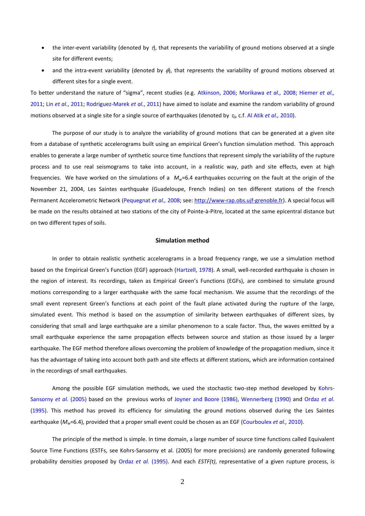- the inter-event variability (denoted by  $\tau$ ), that represents the variability of ground motions observed at a single site for different events;
- and the intra-event variability (denoted by  $\phi$ ), that represents the variability of ground motions observed at different sites for a single event.

To better understand the nature of "sigma", recent studies (e.g. Atkinson, 2006; Morikawa *et al.,* 2008; Hiemer *et al.,* 2011; Lin *et al.*, 2011; Rodriguez-Marek *et al.*, 2011) have aimed to isolate and examine the random variability of ground motions observed at a single site for a single source of earthquakes (denoted by *0*, c.f. Al Atik *et al.,* 2010).

The purpose of our study is to analyze the variability of ground motions that can be generated at a given site from a database of synthetic accelerograms built using an empirical Green's function simulation method. This approach enables to generate a large number of synthetic source time functions that represent simply the variability of the rupture process and to use real seismograms to take into account, in a realistic way, path and site effects, even at high frequencies. We have worked on the simulations of a  $M_w=6.4$  earthquakes occurring on the fault at the origin of the November 21, 2004, Les Saintes earthquake (Guadeloupe, French Indies) on ten different stations of the French Permanent Accelerometric Network (Pequegnat *et al.,* 2008; see: [http://www-rap.obs.ujf-grenoble.fr\)](http://www-rap.obs.ujf-grenoble.fr/). A special focus will be made on the results obtained at two stations of the city of Pointe-à-Pitre, located at the same epicentral distance but on two different types of soils.

#### **Simulation method**

In order to obtain realistic synthetic accelerograms in a broad frequency range, we use a simulation method based on the Empirical Green's Function (EGF) approach (Hartzell, 1978). A small, well-recorded earthquake is chosen in the region of interest. Its recordings, taken as Empirical Green's Functions (EGFs), are combined to simulate ground motions corresponding to a larger earthquake with the same focal mechanism. We assume that the recordings of the small event represent Green's functions at each point of the fault plane activated during the rupture of the large, simulated event. This method is based on the assumption of similarity between earthquakes of different sizes, by considering that small and large earthquake are a similar phenomenon to a scale factor. Thus, the waves emitted by a small earthquake experience the same propagation effects between source and station as those issued by a larger earthquake. The EGF method therefore allows overcoming the problem of knowledge of the propagation medium, since it has the advantage of taking into account both path and site effects at different stations, which are information contained in the recordings of small earthquakes.

Among the possible EGF simulation methods, we used the stochastic two-step method developed by Kohrs-Sansorny *et al.* (2005) based on the previous works of Joyner and Boore (1986), Wennerberg (1990) and Ordaz *et al.* (1995). This method has proved its efficiency for simulating the ground motions observed during the Les Saintes earthquake (*Mw*=6.4), provided that a proper small event could be chosen as an EGF (Courboulex *et al.,* 2010).

The principle of the method is simple. In time domain, a large number of source time functions called Equivalent Source Time Functions (ESTFs, see Kohrs-Sansorny et al. (2005) for more precisions) are randomly generated following probability densities proposed by Ordaz *et al.* (1995). And each *ESTF(t)*, representative of a given rupture process, is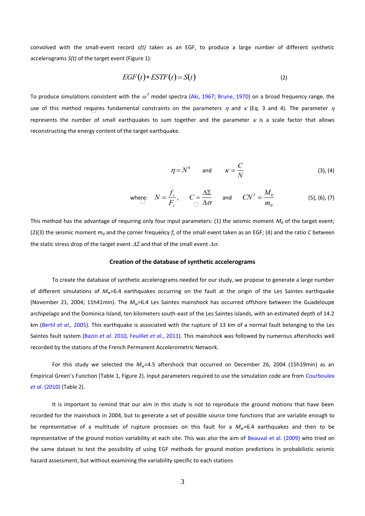convolved with the small-event record *s(t)* taken as an EGF, to produce a large number of different synthetic accelerograms *S(t)* of the target event (Figure 1):

$$
EGF(t) * ESTF(t) = S(t)
$$
\n(2)

use of this method requires fundamental constraints on the parameters  $\eta$  and  $\kappa$  (Eq. 3 and 4). The parameter  $\eta$ To produce simulations consistent with the  $\omega^2$  model spectra (Aki, 1967; Brune, 1970) on a broad frequency range, the represents the number of small earthquakes to sum together and the parameter  $\kappa$  is a scale factor that allows reconstructing the energy content of the target earthquake.

$$
\eta = N^4 \qquad \text{and} \qquad \kappa = \frac{C}{N} \tag{3), (4)}
$$

where: 
$$
N = \frac{f_c}{F_c}
$$
,  $C = \frac{\Delta \Sigma}{\Delta \sigma}$  and  $C N^3 = \frac{M_0}{m_0}$  (5), (6), (7)

(2)(3) the seismic moment  $m_o$  and the corner frequency  $f_c$  of the small event taken as an EGF; (4) and the ratio *C* between This method has the advantage of requiring only four input parameters:  $(1)$  the seismic moment  $M<sub>0</sub>$  of the target event; the static stress drop of the target event  $\Delta\Sigma$  and that of the small event  $\Delta\sigma$ .

#### **Creation of the database of synthetic accelerograms**

To create the database of synthetic accelerograms needed for our study, we propose to generate a large number of different simulations of *Mw*=6.4 earthquakes occurring on the fault at the origin of the Les Saintes earthquake (November 21, 2004; 11h41min). The *Mw*=6.4 Les Saintes mainshock has occurred offshore between the Guadeloupe archipelago and the Dominica Island, ten kilometers south-east of the Les Saintes islands, with an estimated depth of 14.2 km (Bertil *et al.,* 2005). This earthquake is associated with the rupture of 13 km of a normal fault belonging to the Les Saintes fault system (Bazin *et al.* 2010, Feuillet *et al.*, 2011). This mainshock was followed by numerous aftershocks well recorded by the stations of the French Permanent Accelerometric Network.

For this study we selected the *Mw*=4.5 aftershock that occurred on December 26, 2004 (15h19min) as an Empirical Green's Function (Table 1, Figure 2). Input parameters required to use the simulation code are from Courboulex *et al.* (2010) (Table 2).

It is important to remind that our aim in this study is not to reproduce the ground motions that have been recorded for the mainshock in 2004, but to generate a set of possible source time functions that are variable enough to be representative of a multitude of rupture processes on this fault for a *Mw*=6.4 earthquakes and then to be representative of the ground motion variability at each site. This was also the aim of Beauval et al. (2009) who tried on the same dataset to test the possibility of using EGF methods for ground motion predictions in probabilistic seismic hazard assessment, but without examining the variability specific to each stations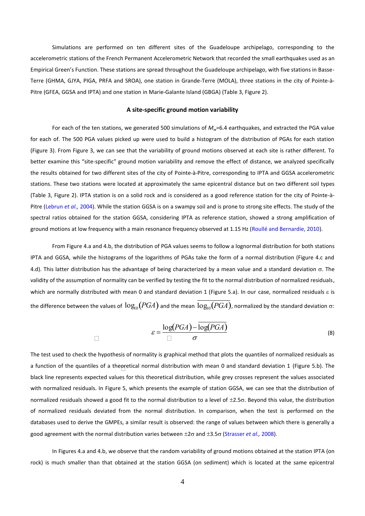Simulations are performed on ten different sites of the Guadeloupe archipelago, corresponding to the accelerometric stations of the French Permanent Accelerometric Network that recorded the small earthquakes used as an Empirical Green's Function. These stations are spread throughout the Guadeloupe archipelago, with five stations in Basse-Terre (GHMA, GJYA, PIGA, PRFA and SROA), one station in Grande-Terre (MOLA), three stations in the city of Pointe-à-Pitre (GFEA, GGSA and IPTA) and one station in Marie-Galante Island (GBGA) (Table 3, Figure 2).

#### **A site-specific ground motion variability**

For each of the ten stations, we generated 500 simulations of  $M_w$ =6.4 earthquakes, and extracted the PGA value for each of. The 500 PGA values picked up were used to build a histogram of the distribution of PGAs for each station (Figure 3). From Figure 3, we can see that the variability of ground motions observed at each site is rather different. To better examine this "site-specific" ground motion variability and remove the effect of distance, we analyzed specifically the results obtained for two different sites of the city of Pointe-à-Pitre, corresponding to IPTA and GGSA accelerometric stations. These two stations were located at approximately the same epicentral distance but on two different soil types (Table 3, Figure 2). IPTA station is on a solid rock and is considered as a good reference station for the city of Pointe-à-Pitre (Lebrun *et al.,* 2004). While the station GGSA is on a swampy soil and is prone to strong site effects. The study of the spectral ratios obtained for the station GGSA, considering IPTA as reference station, showed a strong amplification of ground motions at low frequency with a main resonance frequency observed at 1.15 Hz (Roullé and Bernardie, 2010).

From Figure 4.a and 4.b, the distribution of PGA values seems to follow a lognormal distribution for both stations IPTA and GGSA, while the histograms of the logarithms of PGAs take the form of a normal distribution (Figure 4.c and 4.d). This latter distribution has the advantage of being characterized by a mean value and a standard deviation  $\sigma$ . The validity of the assumption of normality can be verified by testing the fit to the normal distribution of normalized residuals, which are normally distributed with mean 0 and standard deviation 1 (Figure 5.a). In our case, normalized residuals  $\varepsilon$  is the difference between the values of  $\log_{10}(PGA)$  and the mean  $\overline{\log_{10}(PGA)}$ , normalized by the standard deviation  $\sigma$ :

$$
\varepsilon = \frac{\log(PGA) - \overline{\log(PGA)}}{\Box \sigma}
$$
 (8)

a function of the quantiles of a theoretical normal distribution with mean 0 and standard deviation 1 (Figure 5.b). The The test used to check the hypothesis of normality is graphical method that plots the quantiles of normalized residuals as black line represents expected values for this theoretical distribution, while grey crosses represent the values associated with normalized residuals. In Figure 5, which presents the example of station GGSA, we can see that the distribution of normalized residuals showed a good fit to the normal distribution to a level of  $\pm 2.5\sigma$ . Beyond this value, the distribution of normalized residuals deviated from the normal distribution. In comparison, when the test is performed on the databases used to derive the GMPEs, a similar result is observed: the range of values between which there is generally a good agreement with the normal distribution varies between ±2σ and ±3.5σ (Strasser *et al.,* 2008).

In Figures 4.a and 4.b, we observe that the random variability of ground motions obtained at the station IPTA (on rock) is much smaller than that obtained at the station GGSA (on sediment) which is located at the same epicentral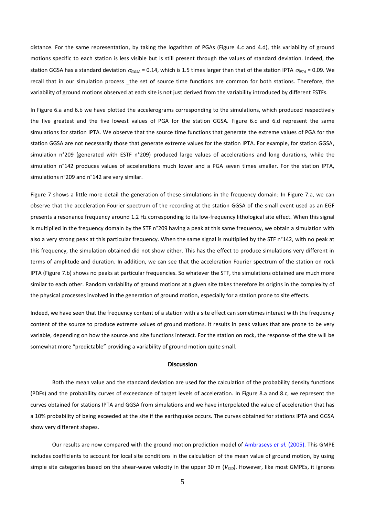distance. For the same representation, by taking the logarithm of PGAs (Figure 4.c and 4.d), this variability of ground motions specific to each station is less visible but is still present through the values of standard deviation. Indeed, the station GGSA has a standard deviation  $\sigma_{GGSA}$  = 0.14, which is 1.5 times larger than that of the station IPTA  $\sigma_{IPTA}$  = 0.09. We recall that in our simulation process the set of source time functions are common for both stations. Therefore, the variability of ground motions observed at each site is not just derived from the variability introduced by different ESTFs.

In Figure 6.a and 6.b we have plotted the accelerograms corresponding to the simulations, which produced respectively the five greatest and the five lowest values of PGA for the station GGSA. Figure 6.c and 6.d represent the same simulations for station IPTA. We observe that the source time functions that generate the extreme values of PGA for the station GGSA are not necessarily those that generate extreme values for the station IPTA. For example, for station GGSA, simulation n°209 (generated with ESTF n°209) produced large values of accelerations and long durations, while the simulation n°142 produces values of accelerations much lower and a PGA seven times smaller. For the station IPTA, simulations n°209 and n°142 are very similar.

Figure 7 shows a little more detail the generation of these simulations in the frequency domain: In Figure 7.a, we can observe that the acceleration Fourier spectrum of the recording at the station GGSA of the small event used as an EGF presents a resonance frequency around 1.2 Hz corresponding to its low-frequency lithological site effect. When this signal is multiplied in the frequency domain by the STF n°209 having a peak at this same frequency, we obtain a simulation with also a very strong peak at this particular frequency. When the same signal is multiplied by the STF n°142, with no peak at this frequency, the simulation obtained did not show either. This has the effect to produce simulations very different in terms of amplitude and duration. In addition, we can see that the acceleration Fourier spectrum of the station on rock IPTA (Figure 7.b) shows no peaks at particular frequencies. So whatever the STF, the simulations obtained are much more similar to each other. Random variability of ground motions at a given site takes therefore its origins in the complexity of the physical processes involved in the generation of ground motion, especially for a station prone to site effects.

Indeed, we have seen that the frequency content of a station with a site effect can sometimes interact with the frequency content of the source to produce extreme values of ground motions. It results in peak values that are prone to be very variable, depending on how the source and site functions interact. For the station on rock, the response of the site will be somewhat more "predictable" providing a variability of ground motion quite small.

#### **Discussion**

Both the mean value and the standard deviation are used for the calculation of the probability density functions (PDFs) and the probability curves of exceedance of target levels of acceleration. In Figure 8.a and 8.c, we represent the curves obtained for stations IPTA and GGSA from simulations and we have interpolated the value of acceleration that has a 10% probability of being exceeded at the site if the earthquake occurs. The curves obtained for stations IPTA and GGSA show very different shapes.

Our results are now compared with the ground motion prediction model of Ambraseys *et al.* (2005). This GMPE includes coefficients to account for local site conditions in the calculation of the mean value of ground motion, by using simple site categories based on the shear-wave velocity in the upper 30 m (*VS30*). However, like most GMPEs, it ignores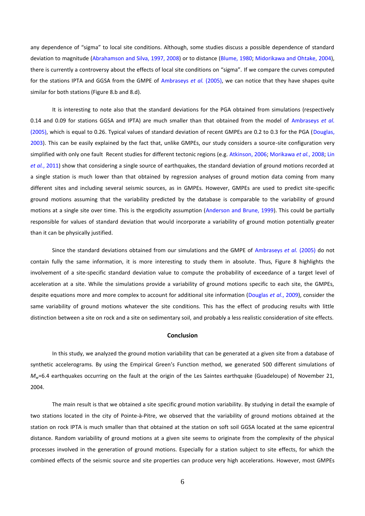any dependence of "sigma" to local site conditions. Although, some studies discuss a possible dependence of standard deviation to magnitude (Abrahamson and Silva, 1997, 2008) or to distance (Blume, 1980; Midorikawa and Ohtake, 2004), there is currently a controversy about the effects of local site conditions on "sigma". If we compare the curves computed for the stations IPTA and GGSA from the GMPE of Ambraseys *et al.* (2005), we can notice that they have shapes quite similar for both stations (Figure 8.b and 8.d).

It is interesting to note also that the standard deviations for the PGA obtained from simulations (respectively 0.14 and 0.09 for stations GGSA and IPTA) are much smaller than that obtained from the model of Ambraseys *et al.* (2005), which is equal to 0.26. Typical values of standard deviation of recent GMPEs are 0.2 to 0.3 for the PGA (Douglas, 2003). This can be easily explained by the fact that, unlike GMPEs, our study considers a source-site configuration very simplified with only one fault Recent studies for different tectonic regions (e.g. Atkinson, 2006; Morikawa *et al.*, 2008; Lin *et al.*, 2011) show that considering a single source of earthquakes, the standard deviation of ground motions recorded at a single station is much lower than that obtained by regression analyses of ground motion data coming from many different sites and including several seismic sources, as in GMPEs. However, GMPEs are used to predict site-specific ground motions assuming that the variability predicted by the database is comparable to the variability of ground motions at a single site over time. This is the ergodicity assumption (Anderson and Brune, 1999). This could be partially responsible for values of standard deviation that would incorporate a variability of ground motion potentially greater than it can be physically justified.

Since the standard deviations obtained from our simulations and the GMPE of Ambraseys *et al.* (2005) do not contain fully the same information, it is more interesting to study them in absolute. Thus, Figure 8 highlights the involvement of a site-specific standard deviation value to compute the probability of exceedance of a target level of acceleration at a site. While the simulations provide a variability of ground motions specific to each site, the GMPEs, despite equations more and more complex to account for additional site information (Douglas *et al*., 2009), consider the same variability of ground motions whatever the site conditions. This has the effect of producing results with little distinction between a site on rock and a site on sedimentary soil, and probably a less realistic consideration of site effects.

#### **Conclusion**

In this study, we analyzed the ground motion variability that can be generated at a given site from a database of synthetic accelerograms. By using the Empirical Green's Function method, we generated 500 different simulations of  $M_w$ =6.4 earthquakes occurring on the fault at the origin of the Les Saintes earthquake (Guadeloupe) of November 21, 2004.

The main result is that we obtained a site specific ground motion variability. By studying in detail the example of two stations located in the city of Pointe-à-Pitre, we observed that the variability of ground motions obtained at the station on rock IPTA is much smaller than that obtained at the station on soft soil GGSA located at the same epicentral distance. Random variability of ground motions at a given site seems to originate from the complexity of the physical processes involved in the generation of ground motions. Especially for a station subject to site effects, for which the combined effects of the seismic source and site properties can produce very high accelerations. However, most GMPEs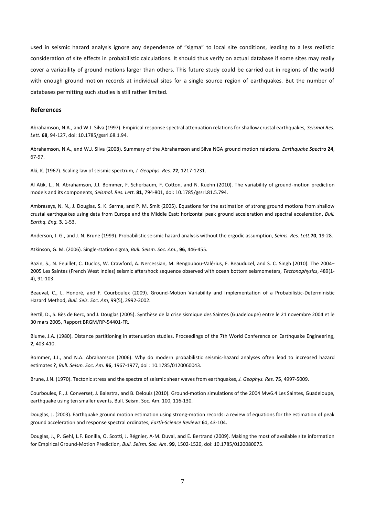used in seismic hazard analysis ignore any dependence of "sigma" to local site conditions, leading to a less realistic consideration of site effects in probabilistic calculations. It should thus verify on actual database if some sites may really cover a variability of ground motions larger than others. This future study could be carried out in regions of the world with enough ground motion records at individual sites for a single source region of earthquakes. But the number of databases permitting such studies is still rather limited.

#### **References**

Abrahamson, N.A., and W.J. Silva (1997). Empirical response spectral attenuation relations for shallow crustal earthquakes, *Seismol Res. Lett.* **68**, 94-127, doi: 10.1785/gssrl.68.1.94.

Abrahamson, N.A., and W.J. Silva (2008). Summary of the Abrahamson and Silva NGA ground motion relations. *Earthquake Spectra* **24**, 67-97.

Aki, K. (1967). Scaling law of seismic spectrum, *J. Geophys. Res.* **72**, 1217-1231.

Al Atik, L., N. Abrahamson, J.J. Bommer, F. Scherbaum, F. Cotton, and N. Kuehn (2010). The variability of ground-motion prediction models and its components, *Seismol. Res. Lett.* **81**, 794-801, doi: 10.1785/gssrl.81.5.794.

Ambraseys, N. N., J. Douglas, S. K. Sarma, and P. M. Smit (2005). Equations for the estimation of strong ground motions from shallow crustal earthquakes using data from Europe and the Middle East: horizontal peak ground acceleration and spectral acceleration, *Bull. Earthq. Eng.* **3**, 1-53.

Anderson, J. G., and J. N. Brune (1999). Probabilistic seismic hazard analysis without the ergodic assumption, *Seims. Res. Lett.***70**, 19-28.

Atkinson, G. M. (2006). Single-station sigma, *Bull. Seism. Soc. Am.*, **96**, 446-455.

Bazin, S., N. Feuillet, C. Duclos, W. Crawford, A. Nercessian, M. Bengoubou-Valérius, F. Beauducel, and S. C. Singh (2010). The 2004– 2005 Les Saintes (French West Indies) seismic aftershock sequence observed with ocean bottom seismometers, *Tectonophysics*, 489(1- 4), 91-103.

Beauval, C., L. Honoré, and F. Courboulex (2009). Ground-Motion Variability and Implementation of a Probabilistic-Deterministic Hazard Method, *Bull. Seis. Soc. Am*, 99(5), 2992-3002.

Bertil, D., S. Bès de Berc, and J. Douglas (2005). Synthèse de la crise sismique des Saintes (Guadeloupe) entre le 21 novembre 2004 et le 30 mars 2005, Rapport BRGM/RP-54401-FR.

Blume, J.A. (1980). Distance partitioning in attenuation studies. Proceedings of the 7th World Conference on Earthquake Engineering, **2**, 403-410.

Bommer, J.J., and N.A. Abrahamson (2006). Why do modern probabilistic seismic-hazard analyses often lead to increased hazard estimates ?, *Bull. Seism. Soc. Am.* **96**, 1967-1977, doi : 10.1785/0120060043.

Brune, J.N. (1970). Tectonic stress and the spectra of seismic shear waves from earthquakes, *J. Geophys. Res.* **75**, 4997-5009.

Courboulex, F., J. Converset, J. Balestra, and B. Delouis (2010). Ground-motion simulations of the 2004 Mw6.4 Les Saintes, Guadeloupe, earthquake using ten smaller events, Bull. Seism. Soc. Am. 100, 116-130.

Douglas, J. (2003). Earthquake ground motion estimation using strong-motion records: a review of equations for the estimation of peak ground acceleration and response spectral ordinates, *Earth-Science Reviews* **61**, 43-104.

Douglas, J., P. Gehl, L.F. Bonilla, O. Scotti, J. Régnier, A-M. Duval, and E. Bertrand (2009). Making the most of available site information for Empirical Ground-Motion Prediction, *Bull. Seism. Soc. Am*. **99**, 1502-1520, doi: 10.1785/0120080075.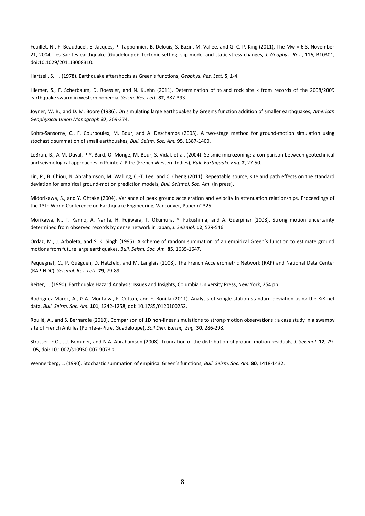Feuillet, N., F. Beauducel, E. Jacques, P. Tapponnier, B. Delouis, S. Bazin, M. Vallée, and G. C. P. King (2011), The Mw = 6.3, November 21, 2004, Les Saintes earthquake (Guadeloupe): Tectonic setting, slip model and static stress changes, *J. Geophys. Res.*, 116, B10301, doi:10.1029/2011JB008310.

Hartzell, S. H. (1978). Earthquake aftershocks as Green's functions, *Geophys. Res. Lett.* **5**, 1-4.

Hiemer, S., F. Scherbaum, D. Roessler, and N. Kuehn (2011). Determination of το and rock site k from records of the 2008/2009 earthquake swarm in western bohemia, *Seism. Res. Lett.* **82**, 387-393.

Joyner, W. B., and D. M. Boore (1986). On simulating large earthquakes by Green's function addition of smaller earthquakes, *American Geophysical Union Monograph* **37**, 269-274.

Kohrs-Sansorny, C., F. Courboulex, M. Bour, and A. Deschamps (2005). A two-stage method for ground-motion simulation using stochastic summation of small earthquakes, *Bull. Seism. Soc. Am.* **95**, 1387-1400.

LeBrun, B., A-M. Duval, P-Y. Bard, O. Monge, M. Bour, S. Vidal, et al. (2004). Seismic microzoning: a comparison between geotechnical and seismological approaches in Pointe-à-Pitre (French Western Indies), *Bull. Earthquake Eng.* **2**, 27-50.

Lin, P., B. Chiou, N. Abrahamson, M. Walling, C.-T. Lee, and C. Cheng (2011). Repeatable source, site and path effects on the standard deviation for empirical ground-motion prediction models, *Bull. Seismol. Soc. Am.* (in press).

Midorikawa, S., and Y. Ohtake (2004). Variance of peak ground acceleration and velocity in attenuation relationships. Proceedings of the 13th World Conference on Earthquake Engineering, Vancouver, Paper n° 325.

Morikawa, N., T. Kanno, A. Narita, H. Fujiwara, T. Okumura, Y. Fukushima, and A. Guerpinar (2008). Strong motion uncertainty determined from observed records by dense network in Japan, *J. Seismol.* **12**, 529-546.

Ordaz, M., J. Arboleta, and S. K. Singh (1995). A scheme of random summation of an empirical Green's function to estimate ground motions from future large earthquakes, *Bull. Seism. Soc. Am.* **85**, 1635-1647.

Pequegnat, C., P. Guéguen, D. Hatzfeld, and M. Langlais (2008). The French Accelerometric Network (RAP) and National Data Center (RAP-NDC), *Seismol. Res. Lett.* **79**, 79-89.

Reiter, L. (1990). Earthquake Hazard Analysis: Issues and Insights, Columbia University Press, New York, 254 pp.

Rodriguez-Marek, A., G.A. Montalva, F. Cotton, and F. Bonilla (2011). Analysis of songle-station standard deviation using the KiK-net data, *Bull. Seism. Soc. Am.* **101**, 1242-1258, doi: 10.1785/0120100252.

Roullé, A., and S. Bernardie (2010). Comparison of 1D non-linear simulations to strong-motion observations : a case study in a swampy site of French Antilles (Pointe-à-Pitre, Guadeloupe), *Soil Dyn. Earthq. Eng.* **30**, 286-298.

Strasser, F.O., J.J. Bommer, and N.A. Abrahamson (2008). Truncation of the distribution of ground-motion residuals, *J. Seismol.* **12**, 79- 105, doi: 10.1007/s10950-007-9073-z.

Wennerberg, L. (1990). Stochastic summation of empirical Green's functions, *Bull. Seism. Soc. Am.* **80**, 1418-1432.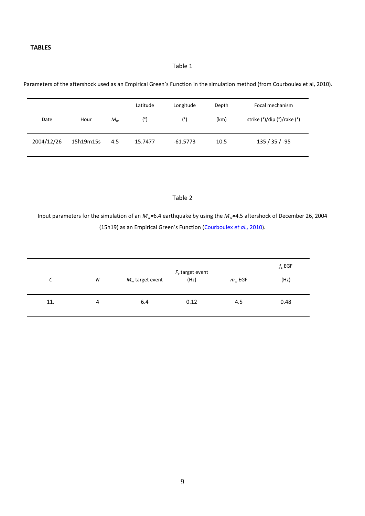## Table 1

Parameters of the aftershock used as an Empirical Green's Function in the simulation method (from Courboulex et al, 2010).

| Date       | Hour      | $M_w$ | Latitude<br>(°) | Longitude<br>(°) | Depth<br>(km) | Focal mechanism<br>strike (°)/dip (°)/rake (°) |
|------------|-----------|-------|-----------------|------------------|---------------|------------------------------------------------|
| 2004/12/26 | 15h19m15s | 4.5   | 15.7477         | $-61.5773$       | 10.5          | 135 / 35 / -95                                 |

## Table 2

Input parameters for the simulation of an *Mw=*6.4 earthquake by using the *Mw=*4.5 aftershock of December 26, 2004 (15h19) as an Empirical Green's Function (Courboulex *et al.,* 2010).

| C   | N | $M_w$ target event | $F_c$ target event<br>(Hz) | $m_w$ EGF | $f_c$ EGF<br>(Hz) |
|-----|---|--------------------|----------------------------|-----------|-------------------|
| 11. | 4 | 6.4                | 0.12                       | 4.5       | 0.48              |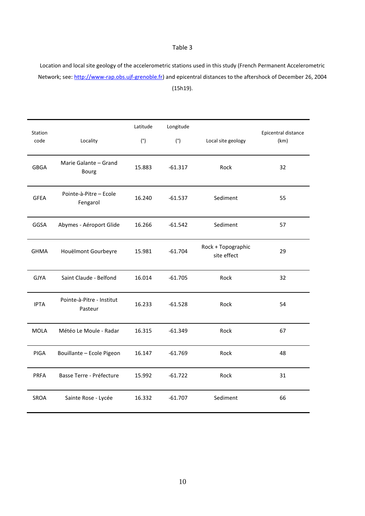## Table 3

Location and local site geology of the accelerometric stations used in this study (French Permanent Accelerometric Network; see: [http://www-rap.obs.ujf-grenoble.fr\)](http://www-rap.obs.ujf-grenoble.fr/) and epicentral distances to the aftershock of December 26, 2004 (15h19).

| Station     |                                      | Latitude | Longitude |                                   | Epicentral distance |
|-------------|--------------------------------------|----------|-----------|-----------------------------------|---------------------|
| code        | Locality                             | (°)      | (°)       | Local site geology                | (km)                |
| <b>GBGA</b> | Marie Galante - Grand<br>Bourg       | 15.883   | $-61.317$ | Rock                              | 32                  |
| <b>GFEA</b> | Pointe-à-Pitre - Ecole<br>Fengarol   | 16.240   | $-61.537$ | Sediment                          | 55                  |
| GGSA        | Abymes - Aéroport Glide              | 16.266   | $-61.542$ | Sediment                          | 57                  |
| <b>GHMA</b> | Houëlmont Gourbeyre                  | 15.981   | $-61.704$ | Rock + Topographic<br>site effect | 29                  |
| <b>GJYA</b> | Saint Claude - Belfond               | 16.014   | $-61.705$ | Rock                              | 32                  |
| <b>IPTA</b> | Pointe-à-Pitre - Institut<br>Pasteur | 16.233   | $-61.528$ | Rock                              | 54                  |
| <b>MOLA</b> | Météo Le Moule - Radar               | 16.315   | $-61.349$ | Rock                              | 67                  |
| PIGA        | Bouillante - Ecole Pigeon            | 16.147   | $-61.769$ | Rock                              | 48                  |
| <b>PRFA</b> | Basse Terre - Préfecture             | 15.992   | $-61.722$ | Rock                              | 31                  |
| SROA        | Sainte Rose - Lycée                  | 16.332   | $-61.707$ | Sediment                          | 66                  |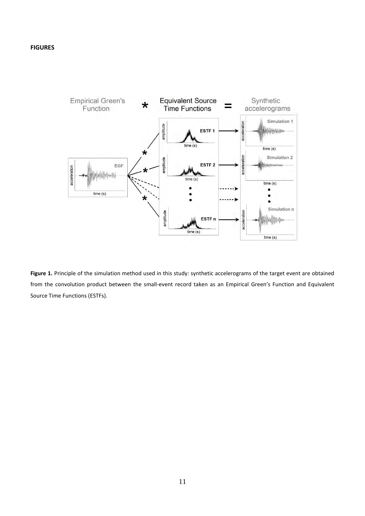

**Figure 1.** Principle of the simulation method used in this study: synthetic accelerograms of the target event are obtained from the convolution product between the small-event record taken as an Empirical Green's Function and Equivalent Source Time Functions (ESTFs).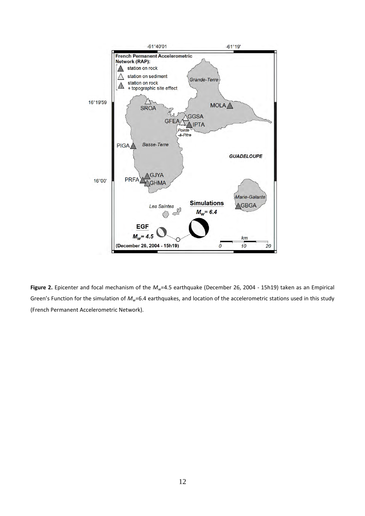

**Figure 2.** Epicenter and focal mechanism of the *Mw*=4.5 earthquake (December 26, 2004 - 15h19) taken as an Empirical Green's Function for the simulation of *Mw*=6.4 earthquakes, and location of the accelerometric stations used in this study (French Permanent Accelerometric Network).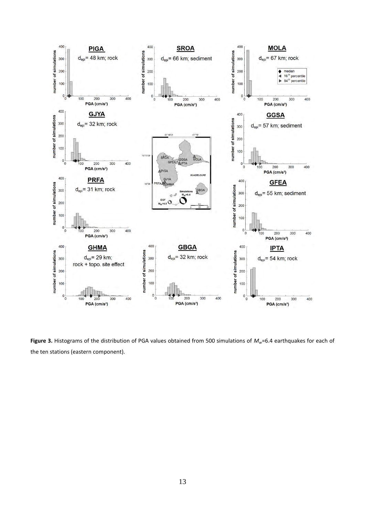

**Figure 3.** Histograms of the distribution of PGA values obtained from 500 simulations of *Mw*=6.4 earthquakes for each of the ten stations (eastern component).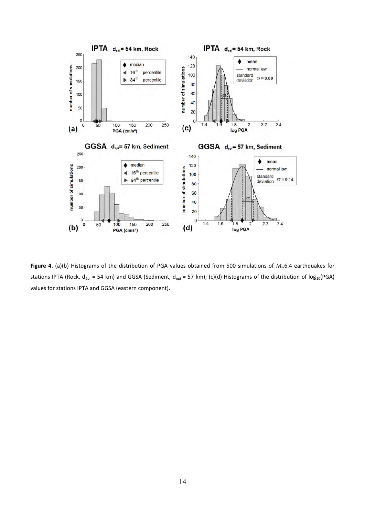

**Figure 4.** (a)(b) Histograms of the distribution of PGA values obtained from 500 simulations of *Mw*6.4 earthquakes for stations IPTA (Rock,  $d_{\text{épi}} = 54$  km) and GGSA (Sediment,  $d_{\text{épi}} = 57$  km); (c)(d) Histograms of the distribution of log<sub>10</sub>(PGA) values for stations IPTA and GGSA (eastern component).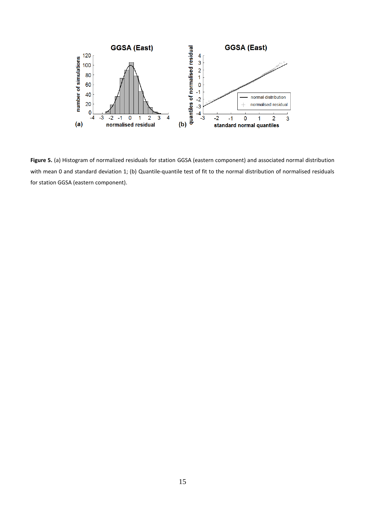

**Figure 5.** (a) Histogram of normalized residuals for station GGSA (eastern component) and associated normal distribution with mean 0 and standard deviation 1; (b) Quantile-quantile test of fit to the normal distribution of normalised residuals for station GGSA (eastern component).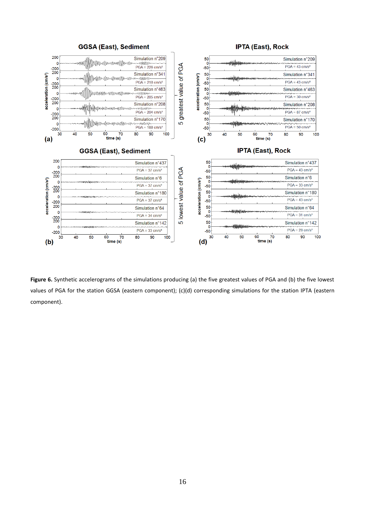

Figure 6. Synthetic accelerograms of the simulations producing (a) the five greatest values of PGA and (b) the five lowest values of PGA for the station GGSA (eastern component); (c)(d) corresponding simulations for the station IPTA (eastern component).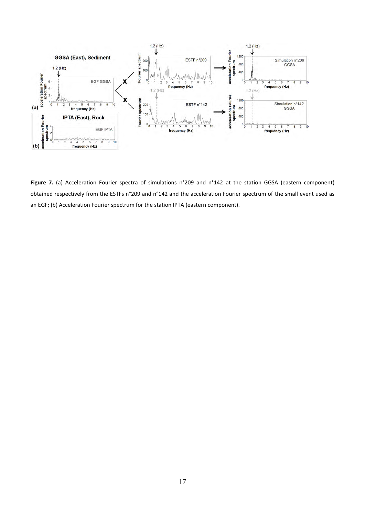

Figure 7. (a) Acceleration Fourier spectra of simulations n°209 and n°142 at the station GGSA (eastern component) obtained respectively from the ESTFs n°209 and n°142 and the acceleration Fourier spectrum of the small event used as an EGF; (b) Acceleration Fourier spectrum for the station IPTA (eastern component).